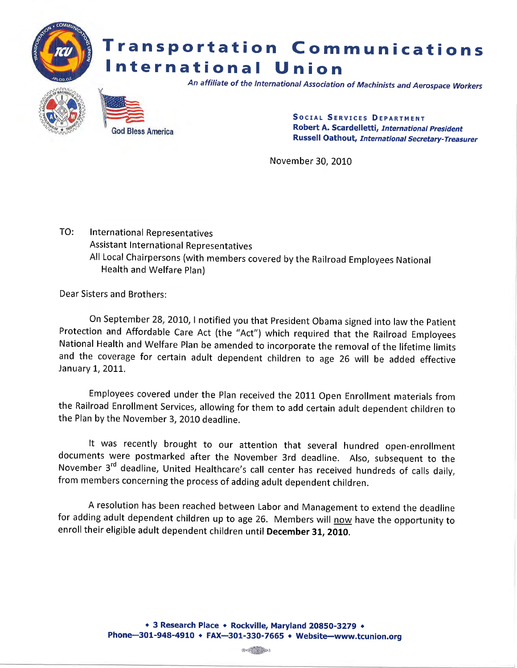

November 30, 2010

TO: International Representatives Assistant International Representatives All Local Chairpersons (with members covered by the Railroad Employees National Health and Welfare Plan)

Dear Sisters and Brothers:

On September 28, 2010, I notified you that President Obama signed into law the Patient Protection and Affordable Care Act (the "Act") which required that the Railroad Employees National Health and Welfare Plan be amended to incorporate the removal of the lifetime limits and the coverage for certain adult dependent children to age 26 will be added effective January 1, 2011.

Employees covered under the Plan received the 2011 Open Enrollment materials from the Railroad Enrollment Services, allowing for them to add certain adult dependent children to the Plan by the November 3, 2010 deadline.

It was recently brought to our attention that several hundred open-enrollment documents were postmarked after the November 3rd deadline. Also, subsequent to the November 3<sup>rd</sup> deadline, United Healthcare's call center has received hundreds of calls daily, from members concerning the process of adding adult dependent children.

A resolution has been reached between Labor and Management to extend the deadline for adding adult dependent children up to age 26. Members will now have the opportunity to enroll their eligible adult dependent children until December 31, 2010.

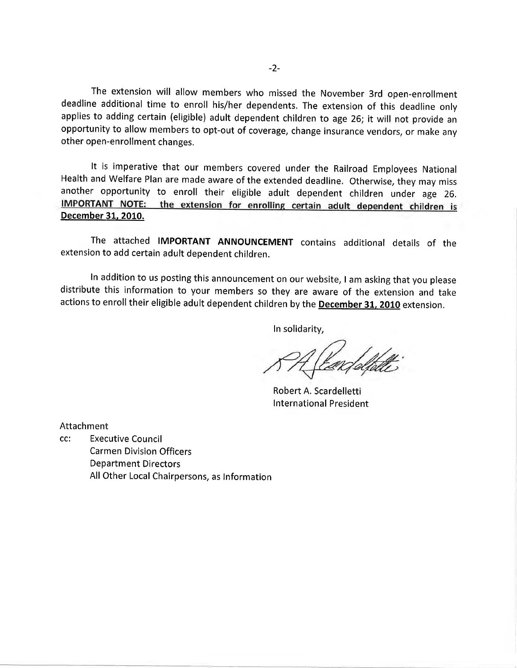The extension will allow members who missed the November 3rd open-enrollment deadline additional time to enroll his/her dependents. The extension of this deadline only applies to adding certain (eligible) adult dependent children to age 26; it will not provide an opportunity to allow members to opt-out of coverage, change insurance vendors, or make any other open-enrollment changes.

It is imperative that our members covered under the Railroad Employees National Health and Welfare Plan are made aware of the extended deadline. otherwise, they may miss another opportunity to enroll their eligible adult dependent children under age 26.<br>IMPORTANT NOTE: the extension for enrolling certain adult dependent children is December 31. 2010.

The attached IMPORTANT ANNOUNCEMENT contains additional details of the extension to add certain adult dependent children.

In addition to us posting this announcement on our website, Iam asking that you please distribute this information to your members so they are aware of the extension and take actions to enroll their eligible adult dependent children by the **December 31, 2010** extension.

In solidarity,

Robert A. Scardelletti International President

Attachment

cc: Executive Council Carrnen Division Officers Department Directors All Other Local Chairpersons, as Information